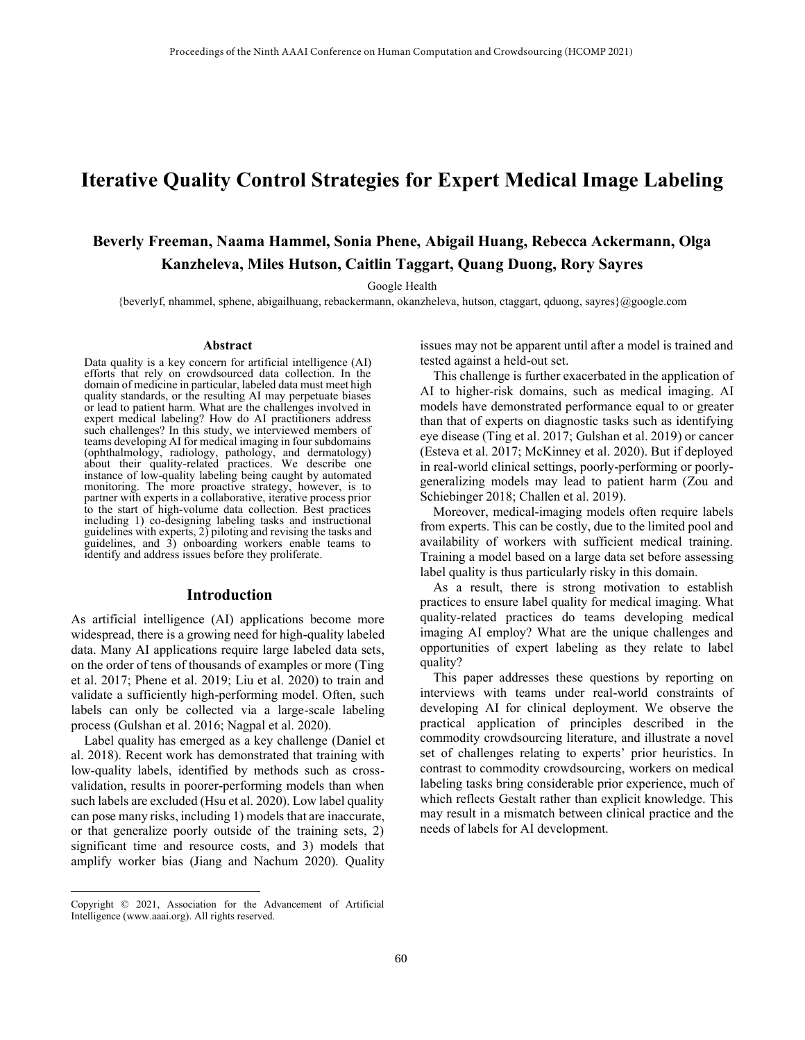# **Iterative Quality Control Strategies for Expert Medical Image Labeling**

# **Beverly Freeman, Naama Hammel, Sonia Phene, Abigail Huang, Rebecca Ackermann, Olga Kanzheleva, Miles Hutson, Caitlin Taggart, Quang Duong, Rory Sayres**

Google Health

{beverlyf, nhammel, sphene, abigailhuang, rebackermann, okanzheleva, hutson, ctaggart, qduong, sayres}@google.com

#### **Abstract**

Data quality is a key concern for artificial intelligence (AI) efforts that rely on crowdsourced data collection. In the domain of medicine in particular, labeled data must meet high quality standards, or the resulting AI may perpetuate biases or lead to patient harm. What are the challenges involved in expert medical labeling? How do AI practitioners address such challenges? In this study, we interviewed members of teams developing AI for medical imaging in four subdomains (ophthalmology, radiology, pathology, and dermatology) about their quality-related practices. We describe one instance of low-quality labeling being caught by automated monitoring. The more proactive strategy, however, is to partner with experts in a collaborative, iterative process prior to the start of high-volume data collection. Best practices including 1) co-designing labeling tasks and instructional guidelines with experts, 2) piloting and revising the tasks and guidelines, and 3) onboarding workers enable teams to identify and address issues before they proliferate.

#### **Introduction**

As artificial intelligence (AI) applications become more widespread, there is a growing need for high-quality labeled data. Many AI applications require large labeled data sets, on the order of tens of thousands of examples or more (Ting et al. 2017; Phene et al. 2019; Liu et al. 2020) to train and validate a sufficiently high-performing model. Often, such labels can only be collected via a large-scale labeling process (Gulshan et al. 2016; Nagpal et al. 2020).

Label quality has emerged as a key challenge (Daniel et al. 2018). Recent work has demonstrated that training with low-quality labels, identified by methods such as crossvalidation, results in poorer-performing models than when such labels are excluded (Hsu et al. 2020). Low label quality can pose many risks, including 1) models that are inaccurate, or that generalize poorly outside of the training sets, 2) significant time and resource costs, and 3) models that amplify worker bias (Jiang and Nachum 2020). Quality issues may not be apparent until after a model is trained and tested against a held-out set.

This challenge is further exacerbated in the application of AI to higher-risk domains, such as medical imaging. AI models have demonstrated performance equal to or greater than that of experts on diagnostic tasks such as identifying eye disease (Ting et al. 2017; Gulshan et al. 2019) or cancer (Esteva et al. 2017; McKinney et al. 2020). But if deployed in real-world clinical settings, poorly-performing or poorlygeneralizing models may lead to patient harm (Zou and Schiebinger 2018; Challen et al. 2019).

Moreover, medical-imaging models often require labels from experts. This can be costly, due to the limited pool and availability of workers with sufficient medical training. Training a model based on a large data set before assessing label quality is thus particularly risky in this domain.

As a result, there is strong motivation to establish practices to ensure label quality for medical imaging. What quality-related practices do teams developing medical imaging AI employ? What are the unique challenges and opportunities of expert labeling as they relate to label quality?

This paper addresses these questions by reporting on interviews with teams under real-world constraints of developing AI for clinical deployment. We observe the practical application of principles described in the commodity crowdsourcing literature, and illustrate a novel set of challenges relating to experts' prior heuristics. In contrast to commodity crowdsourcing, workers on medical labeling tasks bring considerable prior experience, much of which reflects Gestalt rather than explicit knowledge. This may result in a mismatch between clinical practice and the needs of labels for AI development.

Copyright © 2021, Association for the Advancement of Artificial Intelligence (www.aaai.org). All rights reserved.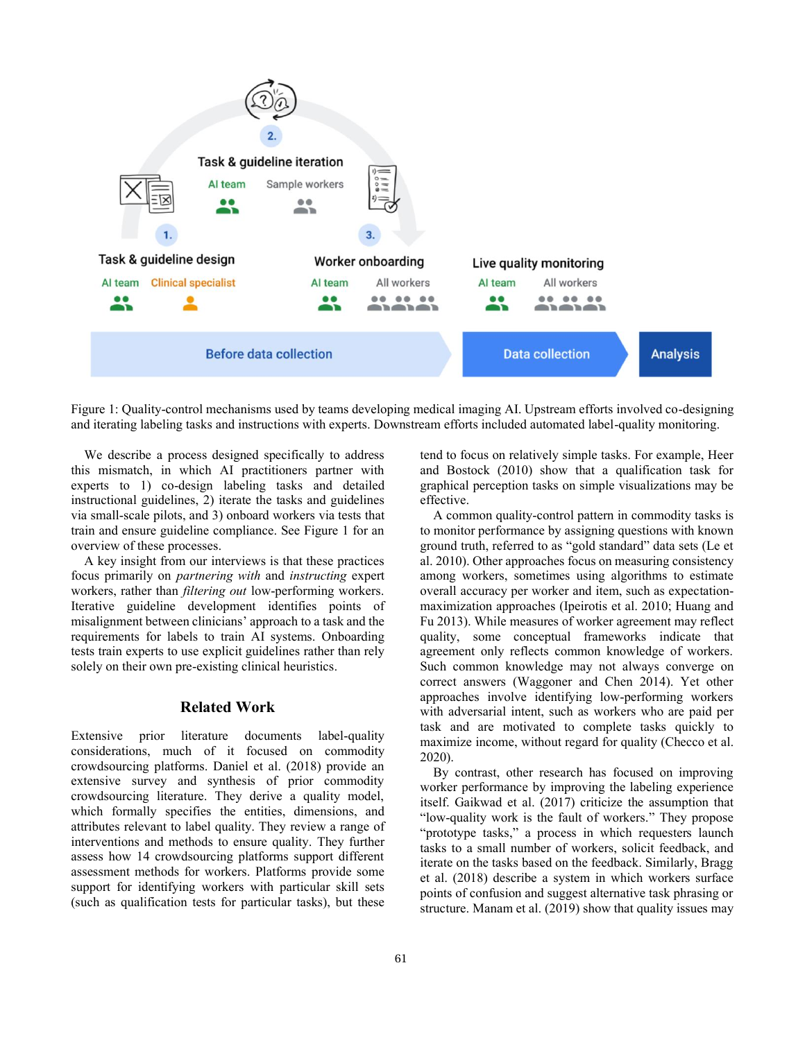

Figure 1: Quality-control mechanisms used by teams developing medical imaging AI. Upstream efforts involved co-designing and iterating labeling tasks and instructions with experts. Downstream efforts included automated label-quality monitoring.

We describe a process designed specifically to address this mismatch, in which AI practitioners partner with experts to 1) co-design labeling tasks and detailed instructional guidelines, 2) iterate the tasks and guidelines via small-scale pilots, and 3) onboard workers via tests that train and ensure guideline compliance. See Figure 1 for an overview of these processes.

A key insight from our interviews is that these practices focus primarily on *partnering with* and *instructing* expert workers, rather than *filtering out* low-performing workers. Iterative guideline development identifies points of misalignment between clinicians' approach to a task and the requirements for labels to train AI systems. Onboarding tests train experts to use explicit guidelines rather than rely solely on their own pre-existing clinical heuristics.

# **Related Work**

Extensive prior literature documents label-quality considerations, much of it focused on commodity crowdsourcing platforms. Daniel et al. (2018) provide an extensive survey and synthesis of prior commodity crowdsourcing literature. They derive a quality model, which formally specifies the entities, dimensions, and attributes relevant to label quality. They review a range of interventions and methods to ensure quality. They further assess how 14 crowdsourcing platforms support different assessment methods for workers. Platforms provide some support for identifying workers with particular skill sets (such as qualification tests for particular tasks), but these

tend to focus on relatively simple tasks. For example, Heer and Bostock (2010) show that a qualification task for graphical perception tasks on simple visualizations may be effective.

A common quality-control pattern in commodity tasks is to monitor performance by assigning questions with known ground truth, referred to as "gold standard" data sets (Le et al. 2010). Other approaches focus on measuring consistency among workers, sometimes using algorithms to estimate overall accuracy per worker and item, such as expectationmaximization approaches (Ipeirotis et al. 2010; Huang and Fu 2013). While measures of worker agreement may reflect quality, some conceptual frameworks indicate that agreement only reflects common knowledge of workers. Such common knowledge may not always converge on correct answers (Waggoner and Chen 2014). Yet other approaches involve identifying low-performing workers with adversarial intent, such as workers who are paid per task and are motivated to complete tasks quickly to maximize income, without regard for quality (Checco et al. 2020).

By contrast, other research has focused on improving worker performance by improving the labeling experience itself. Gaikwad et al. (2017) criticize the assumption that "low-quality work is the fault of workers." They propose "prototype tasks," a process in which requesters launch tasks to a small number of workers, solicit feedback, and iterate on the tasks based on the feedback. Similarly, Bragg et al. (2018) describe a system in which workers surface points of confusion and suggest alternative task phrasing or structure. Manam et al. (2019) show that quality issues may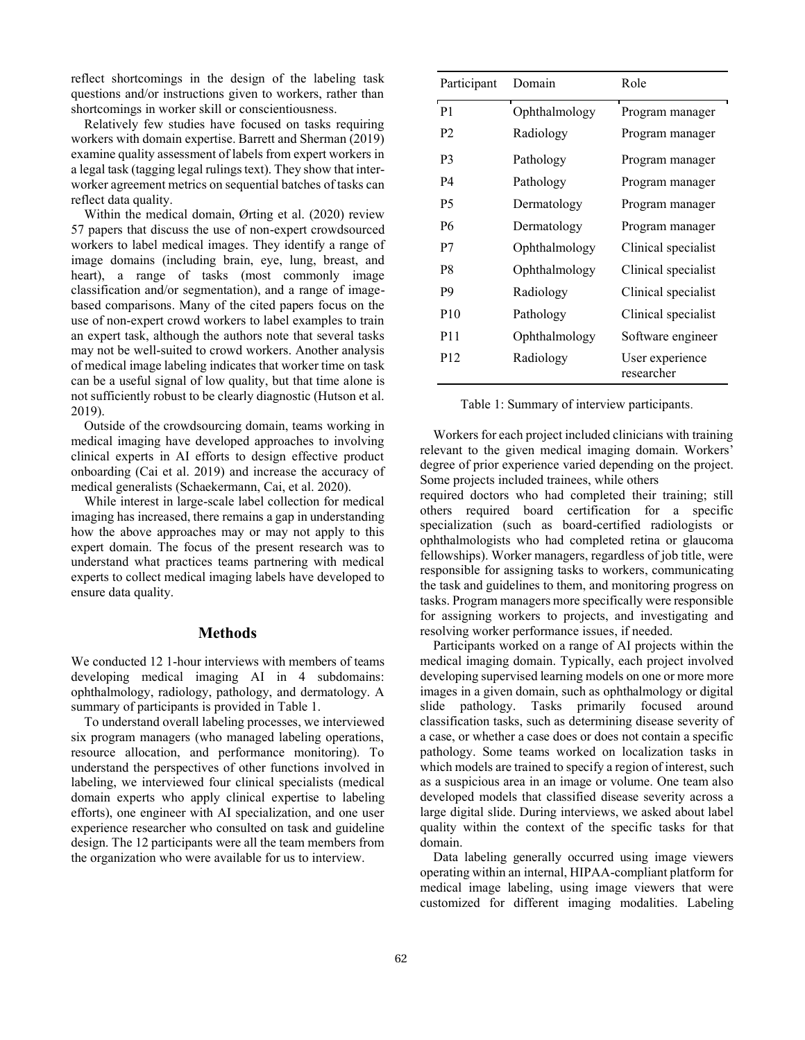reflect shortcomings in the design of the labeling task questions and/or instructions given to workers, rather than shortcomings in worker skill or conscientiousness.

Relatively few studies have focused on tasks requiring workers with domain expertise. Barrett and Sherman (2019) examine quality assessment of labels from expert workers in a legal task (tagging legal rulings text). They show that interworker agreement metrics on sequential batches of tasks can reflect data quality.

Within the medical domain, Ørting et al. (2020) review 57 papers that discuss the use of non-expert crowdsourced workers to label medical images. They identify a range of image domains (including brain, eye, lung, breast, and heart), a range of tasks (most commonly image classification and/or segmentation), and a range of imagebased comparisons. Many of the cited papers focus on the use of non-expert crowd workers to label examples to train an expert task, although the authors note that several tasks may not be well-suited to crowd workers. Another analysis of medical image labeling indicates that worker time on task can be a useful signal of low quality, but that time alone is not sufficiently robust to be clearly diagnostic (Hutson et al. 2019).

Outside of the crowdsourcing domain, teams working in medical imaging have developed approaches to involving clinical experts in AI efforts to design effective product onboarding (Cai et al. 2019) and increase the accuracy of medical generalists (Schaekermann, Cai, et al. 2020).

While interest in large-scale label collection for medical imaging has increased, there remains a gap in understanding how the above approaches may or may not apply to this expert domain. The focus of the present research was to understand what practices teams partnering with medical experts to collect medical imaging labels have developed to ensure data quality.

#### **Methods**

We conducted 12 1-hour interviews with members of teams developing medical imaging AI in 4 subdomains: ophthalmology, radiology, pathology, and dermatology. A summary of participants is provided in Table 1.

To understand overall labeling processes, we interviewed six program managers (who managed labeling operations, resource allocation, and performance monitoring). To understand the perspectives of other functions involved in labeling, we interviewed four clinical specialists (medical domain experts who apply clinical expertise to labeling efforts), one engineer with AI specialization, and one user experience researcher who consulted on task and guideline design. The 12 participants were all the team members from the organization who were available for us to interview.

| Participant     | Domain        | Role                          |
|-----------------|---------------|-------------------------------|
| P <sub>1</sub>  | Ophthalmology | Program manager               |
| P <sub>2</sub>  | Radiology     | Program manager               |
| P3              | Pathology     | Program manager               |
| P4              | Pathology     | Program manager               |
| P <sub>5</sub>  | Dermatology   | Program manager               |
| <b>P6</b>       | Dermatology   | Program manager               |
| P7              | Ophthalmology | Clinical specialist           |
| P8              | Ophthalmology | Clinical specialist           |
| P <sub>9</sub>  | Radiology     | Clinical specialist           |
| P <sub>10</sub> | Pathology     | Clinical specialist           |
| P <sub>11</sub> | Ophthalmology | Software engineer             |
| P <sub>12</sub> | Radiology     | User experience<br>researcher |

Table 1: Summary of interview participants.

Workers for each project included clinicians with training relevant to the given medical imaging domain. Workers' degree of prior experience varied depending on the project. Some projects included trainees, while others

required doctors who had completed their training; still others required board certification for a specific specialization (such as board-certified radiologists or ophthalmologists who had completed retina or glaucoma fellowships). Worker managers, regardless of job title, were responsible for assigning tasks to workers, communicating the task and guidelines to them, and monitoring progress on tasks. Program managers more specifically were responsible for assigning workers to projects, and investigating and resolving worker performance issues, if needed.

Participants worked on a range of AI projects within the medical imaging domain. Typically, each project involved developing supervised learning models on one or more more images in a given domain, such as ophthalmology or digital slide pathology. Tasks primarily focused around classification tasks, such as determining disease severity of a case, or whether a case does or does not contain a specific pathology. Some teams worked on localization tasks in which models are trained to specify a region of interest, such as a suspicious area in an image or volume. One team also developed models that classified disease severity across a large digital slide. During interviews, we asked about label quality within the context of the specific tasks for that domain.

Data labeling generally occurred using image viewers operating within an internal, HIPAA-compliant platform for medical image labeling, using image viewers that were customized for different imaging modalities. Labeling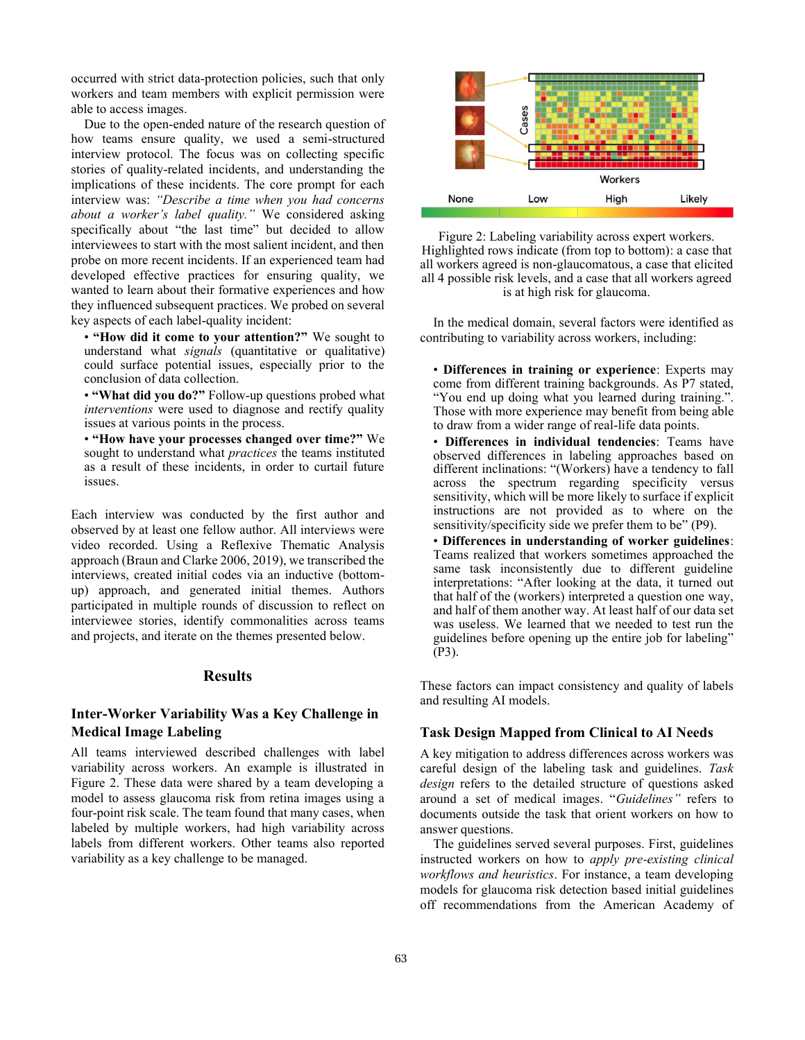occurred with strict data-protection policies, such that only workers and team members with explicit permission were able to access images.

Due to the open-ended nature of the research question of how teams ensure quality, we used a semi-structured interview protocol. The focus was on collecting specific stories of quality-related incidents, and understanding the implications of these incidents. The core prompt for each interview was: *"Describe a time when you had concerns about a worker's label quality."* We considered asking specifically about "the last time" but decided to allow interviewees to start with the most salient incident, and then probe on more recent incidents. If an experienced team had developed effective practices for ensuring quality, we wanted to learn about their formative experiences and how they influenced subsequent practices. We probed on several key aspects of each label-quality incident:

• **"How did it come to your attention?"** We sought to understand what *signals* (quantitative or qualitative) could surface potential issues, especially prior to the conclusion of data collection.

• **"What did you do?"** Follow-up questions probed what *interventions* were used to diagnose and rectify quality issues at various points in the process.

• **"How have your processes changed over time?"** We sought to understand what *practices* the teams instituted as a result of these incidents, in order to curtail future issues.

Each interview was conducted by the first author and observed by at least one fellow author. All interviews were video recorded. Using a Reflexive Thematic Analysis approach (Braun and Clarke 2006, 2019), we transcribed the interviews, created initial codes via an inductive (bottomup) approach, and generated initial themes. Authors participated in multiple rounds of discussion to reflect on interviewee stories, identify commonalities across teams and projects, and iterate on the themes presented below.

#### **Results**

# **Inter-Worker Variability Was a Key Challenge in Medical Image Labeling**

All teams interviewed described challenges with label variability across workers. An example is illustrated in Figure 2. These data were shared by a team developing a model to assess glaucoma risk from retina images using a four-point risk scale. The team found that many cases, when labeled by multiple workers, had high variability across labels from different workers. Other teams also reported variability as a key challenge to be managed.



Figure 2: Labeling variability across expert workers. Highlighted rows indicate (from top to bottom): a case that all workers agreed is non-glaucomatous, a case that elicited all 4 possible risk levels, and a case that all workers agreed is at high risk for glaucoma.

In the medical domain, several factors were identified as contributing to variability across workers, including:

- **Differences in training or experience**: Experts may come from different training backgrounds. As P7 stated, "You end up doing what you learned during training.". Those with more experience may benefit from being able to draw from a wider range of real-life data points.
- **Differences in individual tendencies**: Teams have observed differences in labeling approaches based on different inclinations: "(Workers) have a tendency to fall across the spectrum regarding specificity versus sensitivity, which will be more likely to surface if explicit instructions are not provided as to where on the sensitivity/specificity side we prefer them to be" (P9).
- **Differences in understanding of worker guidelines**: Teams realized that workers sometimes approached the same task inconsistently due to different guideline interpretations: "After looking at the data, it turned out that half of the (workers) interpreted a question one way, and half of them another way. At least half of our data set was useless. We learned that we needed to test run the guidelines before opening up the entire job for labeling" (P3).

These factors can impact consistency and quality of labels and resulting AI models.

### **Task Design Mapped from Clinical to AI Needs**

A key mitigation to address differences across workers was careful design of the labeling task and guidelines. *Task design* refers to the detailed structure of questions asked around a set of medical images. "*Guidelines"* refers to documents outside the task that orient workers on how to answer questions.

The guidelines served several purposes. First, guidelines instructed workers on how to *apply pre-existing clinical workflows and heuristics*. For instance, a team developing models for glaucoma risk detection based initial guidelines off recommendations from the American Academy of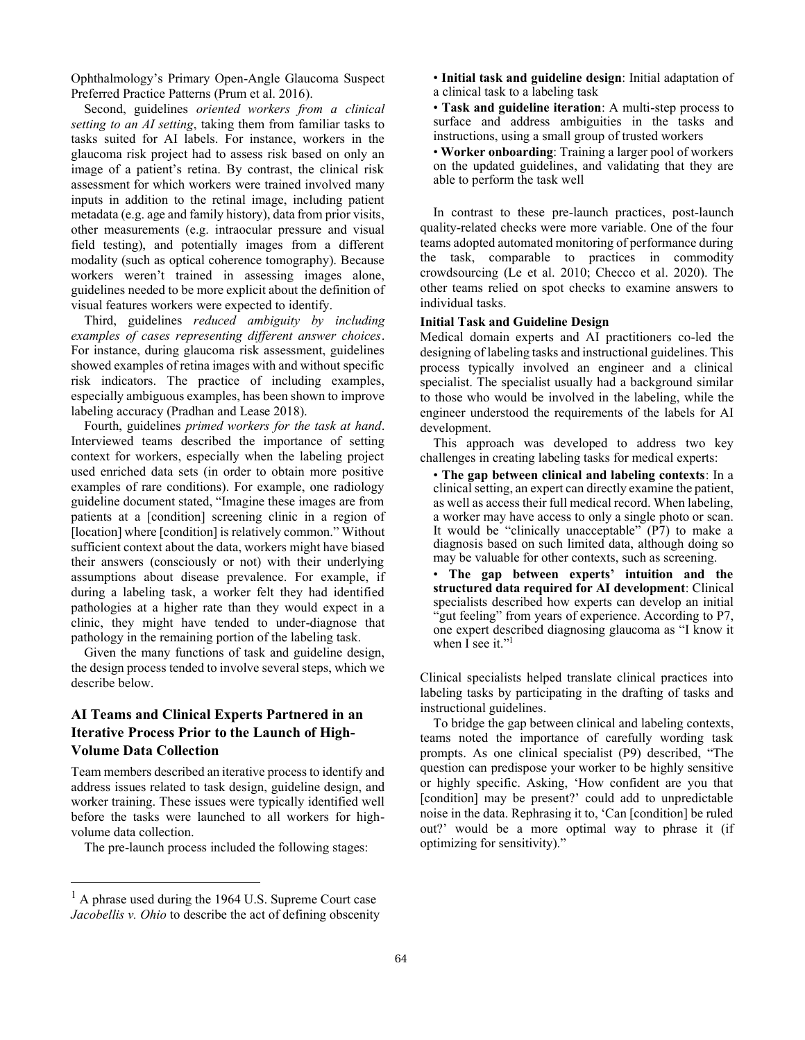Ophthalmology's Primary Open-Angle Glaucoma Suspect Preferred Practice Patterns (Prum et al. 2016).

Second, guidelines *oriented workers from a clinical setting to an AI setting*, taking them from familiar tasks to tasks suited for AI labels. For instance, workers in the glaucoma risk project had to assess risk based on only an image of a patient's retina. By contrast, the clinical risk assessment for which workers were trained involved many inputs in addition to the retinal image, including patient metadata (e.g. age and family history), data from prior visits, other measurements (e.g. intraocular pressure and visual field testing), and potentially images from a different modality (such as optical coherence tomography). Because workers weren't trained in assessing images alone, guidelines needed to be more explicit about the definition of visual features workers were expected to identify.

Third, guidelines *reduced ambiguity by including examples of cases representing different answer choices*. For instance, during glaucoma risk assessment, guidelines showed examples of retina images with and without specific risk indicators. The practice of including examples, especially ambiguous examples, has been shown to improve labeling accuracy (Pradhan and Lease 2018).

Fourth, guidelines *primed workers for the task at hand*. Interviewed teams described the importance of setting context for workers, especially when the labeling project used enriched data sets (in order to obtain more positive examples of rare conditions). For example, one radiology guideline document stated, "Imagine these images are from patients at a [condition] screening clinic in a region of [location] where [condition] is relatively common." Without sufficient context about the data, workers might have biased their answers (consciously or not) with their underlying assumptions about disease prevalence. For example, if during a labeling task, a worker felt they had identified pathologies at a higher rate than they would expect in a clinic, they might have tended to under-diagnose that pathology in the remaining portion of the labeling task.

Given the many functions of task and guideline design, the design process tended to involve several steps, which we describe below.

# **AI Teams and Clinical Experts Partnered in an Iterative Process Prior to the Launch of High-Volume Data Collection**

Team members described an iterative process to identify and address issues related to task design, guideline design, and worker training. These issues were typically identified well before the tasks were launched to all workers for highvolume data collection.

The pre-launch process included the following stages:

• **Initial task and guideline design**: Initial adaptation of a clinical task to a labeling task

• **Task and guideline iteration**: A multi-step process to surface and address ambiguities in the tasks and instructions, using a small group of trusted workers

• **Worker onboarding**: Training a larger pool of workers on the updated guidelines, and validating that they are able to perform the task well

In contrast to these pre-launch practices, post-launch quality-related checks were more variable. One of the four teams adopted automated monitoring of performance during the task, comparable to practices in commodity crowdsourcing (Le et al. 2010; Checco et al. 2020). The other teams relied on spot checks to examine answers to individual tasks.

#### **Initial Task and Guideline Design**

Medical domain experts and AI practitioners co-led the designing of labeling tasks and instructional guidelines. This process typically involved an engineer and a clinical specialist. The specialist usually had a background similar to those who would be involved in the labeling, while the engineer understood the requirements of the labels for AI development.

This approach was developed to address two key challenges in creating labeling tasks for medical experts:

• **The gap between clinical and labeling contexts**: In a clinical setting, an expert can directly examine the patient, as well as access their full medical record. When labeling, a worker may have access to only a single photo or scan. It would be "clinically unacceptable" (P7) to make a diagnosis based on such limited data, although doing so may be valuable for other contexts, such as screening.

• **The gap between experts' intuition and the structured data required for AI development**: Clinical specialists described how experts can develop an initial "gut feeling" from years of experience. According to P7, one expert described diagnosing glaucoma as "I know it when I see it."<sup>1</sup>

Clinical specialists helped translate clinical practices into labeling tasks by participating in the drafting of tasks and instructional guidelines.

To bridge the gap between clinical and labeling contexts, teams noted the importance of carefully wording task prompts. As one clinical specialist (P9) described, "The question can predispose your worker to be highly sensitive or highly specific. Asking, 'How confident are you that [condition] may be present?' could add to unpredictable noise in the data. Rephrasing it to, 'Can [condition] be ruled out?' would be a more optimal way to phrase it (if optimizing for sensitivity)."

 $<sup>1</sup>$  A phrase used during the 1964 U.S. Supreme Court case</sup> *Jacobellis v. Ohio* to describe the act of defining obscenity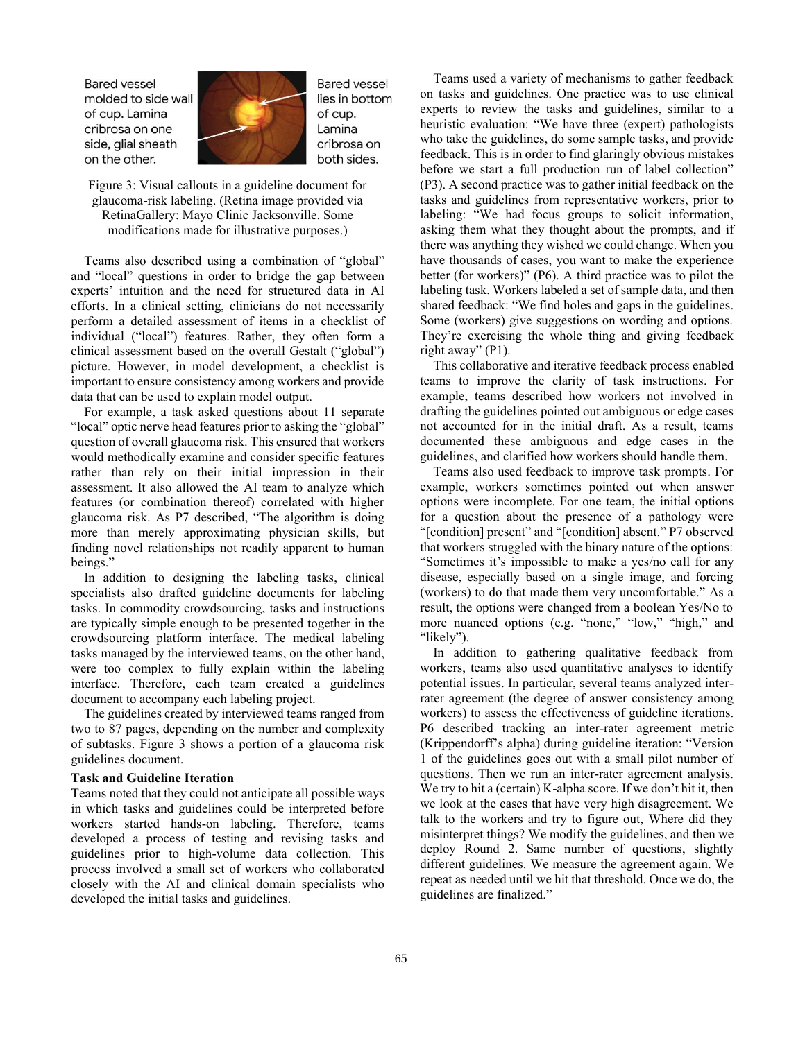**Bared vessel** molded to side wall of cup. Lamina cribrosa on one side, glial sheath on the other.



**Bared vessel** lies in bottom of cup. Lamina cribrosa on both sides.

Figure 3: Visual callouts in a guideline document for glaucoma-risk labeling. (Retina image provided via RetinaGallery: Mayo Clinic Jacksonville. Some modifications made for illustrative purposes.)

Teams also described using a combination of "global" and "local" questions in order to bridge the gap between experts' intuition and the need for structured data in AI efforts. In a clinical setting, clinicians do not necessarily perform a detailed assessment of items in a checklist of individual ("local") features. Rather, they often form a clinical assessment based on the overall Gestalt ("global") picture. However, in model development, a checklist is important to ensure consistency among workers and provide data that can be used to explain model output.

For example, a task asked questions about 11 separate "local" optic nerve head features prior to asking the "global" question of overall glaucoma risk. This ensured that workers would methodically examine and consider specific features rather than rely on their initial impression in their assessment. It also allowed the AI team to analyze which features (or combination thereof) correlated with higher glaucoma risk. As P7 described, "The algorithm is doing more than merely approximating physician skills, but finding novel relationships not readily apparent to human beings."

In addition to designing the labeling tasks, clinical specialists also drafted guideline documents for labeling tasks. In commodity crowdsourcing, tasks and instructions are typically simple enough to be presented together in the crowdsourcing platform interface. The medical labeling tasks managed by the interviewed teams, on the other hand, were too complex to fully explain within the labeling interface. Therefore, each team created a guidelines document to accompany each labeling project.

The guidelines created by interviewed teams ranged from two to 87 pages, depending on the number and complexity of subtasks. Figure 3 shows a portion of a glaucoma risk guidelines document.

### **Task and Guideline Iteration**

Teams noted that they could not anticipate all possible ways in which tasks and guidelines could be interpreted before workers started hands-on labeling. Therefore, teams developed a process of testing and revising tasks and guidelines prior to high-volume data collection. This process involved a small set of workers who collaborated closely with the AI and clinical domain specialists who developed the initial tasks and guidelines.

Teams used a variety of mechanisms to gather feedback on tasks and guidelines. One practice was to use clinical experts to review the tasks and guidelines, similar to a heuristic evaluation: "We have three (expert) pathologists who take the guidelines, do some sample tasks, and provide feedback. This is in order to find glaringly obvious mistakes before we start a full production run of label collection" (P3). A second practice was to gather initial feedback on the tasks and guidelines from representative workers, prior to labeling: "We had focus groups to solicit information, asking them what they thought about the prompts, and if there was anything they wished we could change. When you have thousands of cases, you want to make the experience better (for workers)" (P6). A third practice was to pilot the labeling task. Workers labeled a set of sample data, and then shared feedback: "We find holes and gaps in the guidelines. Some (workers) give suggestions on wording and options. They're exercising the whole thing and giving feedback right away" (P1).

This collaborative and iterative feedback process enabled teams to improve the clarity of task instructions. For example, teams described how workers not involved in drafting the guidelines pointed out ambiguous or edge cases not accounted for in the initial draft. As a result, teams documented these ambiguous and edge cases in the guidelines, and clarified how workers should handle them.

Teams also used feedback to improve task prompts. For example, workers sometimes pointed out when answer options were incomplete. For one team, the initial options for a question about the presence of a pathology were "[condition] present" and "[condition] absent." P7 observed that workers struggled with the binary nature of the options: "Sometimes it's impossible to make a yes/no call for any disease, especially based on a single image, and forcing (workers) to do that made them very uncomfortable." As a result, the options were changed from a boolean Yes/No to more nuanced options (e.g. "none," "low," "high," and "likely").

In addition to gathering qualitative feedback from workers, teams also used quantitative analyses to identify potential issues. In particular, several teams analyzed interrater agreement (the degree of answer consistency among workers) to assess the effectiveness of guideline iterations. P6 described tracking an inter-rater agreement metric (Krippendorff's alpha) during guideline iteration: "Version 1 of the guidelines goes out with a small pilot number of questions. Then we run an inter-rater agreement analysis. We try to hit a (certain) K-alpha score. If we don't hit it, then we look at the cases that have very high disagreement. We talk to the workers and try to figure out, Where did they misinterpret things? We modify the guidelines, and then we deploy Round 2. Same number of questions, slightly different guidelines. We measure the agreement again. We repeat as needed until we hit that threshold. Once we do, the guidelines are finalized."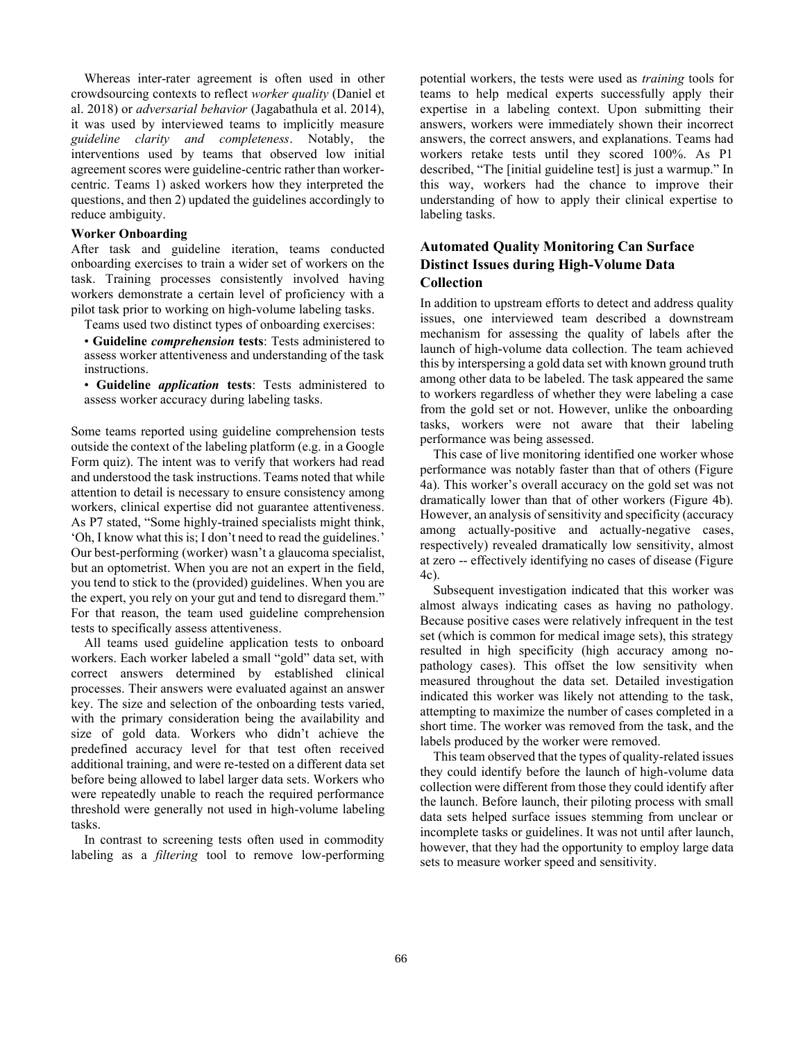Whereas inter-rater agreement is often used in other crowdsourcing contexts to reflect *worker quality* (Daniel et al. 2018) or *adversarial behavior* (Jagabathula et al. 2014), it was used by interviewed teams to implicitly measure *guideline clarity and completeness*. Notably, the interventions used by teams that observed low initial agreement scores were guideline-centric rather than workercentric. Teams 1) asked workers how they interpreted the questions, and then 2) updated the guidelines accordingly to reduce ambiguity.

#### **Worker Onboarding**

After task and guideline iteration, teams conducted onboarding exercises to train a wider set of workers on the task. Training processes consistently involved having workers demonstrate a certain level of proficiency with a pilot task prior to working on high-volume labeling tasks.

Teams used two distinct types of onboarding exercises:

• **Guideline** *comprehension* **tests**: Tests administered to assess worker attentiveness and understanding of the task instructions.

• **Guideline** *application* **tests**: Tests administered to assess worker accuracy during labeling tasks.

Some teams reported using guideline comprehension tests outside the context of the labeling platform (e.g. in a Google Form quiz). The intent was to verify that workers had read and understood the task instructions. Teams noted that while attention to detail is necessary to ensure consistency among workers, clinical expertise did not guarantee attentiveness. As P7 stated, "Some highly-trained specialists might think, 'Oh, I know what this is; I don't need to read the guidelines.' Our best-performing (worker) wasn't a glaucoma specialist, but an optometrist. When you are not an expert in the field, you tend to stick to the (provided) guidelines. When you are the expert, you rely on your gut and tend to disregard them." For that reason, the team used guideline comprehension tests to specifically assess attentiveness.

All teams used guideline application tests to onboard workers. Each worker labeled a small "gold" data set, with correct answers determined by established clinical processes. Their answers were evaluated against an answer key. The size and selection of the onboarding tests varied, with the primary consideration being the availability and size of gold data. Workers who didn't achieve the predefined accuracy level for that test often received additional training, and were re-tested on a different data set before being allowed to label larger data sets. Workers who were repeatedly unable to reach the required performance threshold were generally not used in high-volume labeling tasks.

In contrast to screening tests often used in commodity labeling as a *filtering* tool to remove low-performing

potential workers, the tests were used as *training* tools for teams to help medical experts successfully apply their expertise in a labeling context. Upon submitting their answers, workers were immediately shown their incorrect answers, the correct answers, and explanations. Teams had workers retake tests until they scored 100%. As P1 described, "The [initial guideline test] is just a warmup." In this way, workers had the chance to improve their understanding of how to apply their clinical expertise to labeling tasks.

# **Automated Quality Monitoring Can Surface Distinct Issues during High-Volume Data Collection**

In addition to upstream efforts to detect and address quality issues, one interviewed team described a downstream mechanism for assessing the quality of labels after the launch of high-volume data collection. The team achieved this by interspersing a gold data set with known ground truth among other data to be labeled. The task appeared the same to workers regardless of whether they were labeling a case from the gold set or not. However, unlike the onboarding tasks, workers were not aware that their labeling performance was being assessed.

This case of live monitoring identified one worker whose performance was notably faster than that of others (Figure 4a). This worker's overall accuracy on the gold set was not dramatically lower than that of other workers (Figure 4b). However, an analysis of sensitivity and specificity (accuracy among actually-positive and actually-negative cases, respectively) revealed dramatically low sensitivity, almost at zero -- effectively identifying no cases of disease (Figure 4c).

Subsequent investigation indicated that this worker was almost always indicating cases as having no pathology. Because positive cases were relatively infrequent in the test set (which is common for medical image sets), this strategy resulted in high specificity (high accuracy among nopathology cases). This offset the low sensitivity when measured throughout the data set. Detailed investigation indicated this worker was likely not attending to the task, attempting to maximize the number of cases completed in a short time. The worker was removed from the task, and the labels produced by the worker were removed.

This team observed that the types of quality-related issues they could identify before the launch of high-volume data collection were different from those they could identify after the launch. Before launch, their piloting process with small data sets helped surface issues stemming from unclear or incomplete tasks or guidelines. It was not until after launch, however, that they had the opportunity to employ large data sets to measure worker speed and sensitivity.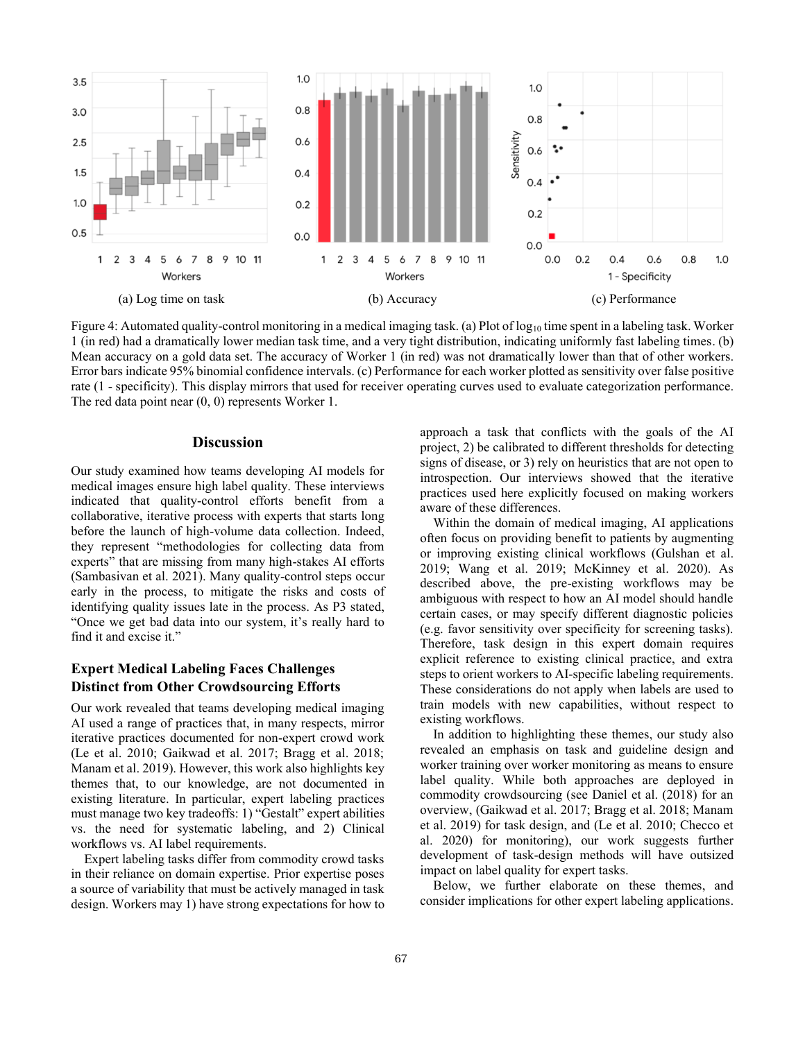

Figure 4: Automated quality-control monitoring in a medical imaging task. (a) Plot of  $log_{10}$  time spent in a labeling task. Worker 1 (in red) had a dramatically lower median task time, and a very tight distribution, indicating uniformly fast labeling times. (b) Mean accuracy on a gold data set. The accuracy of Worker 1 (in red) was not dramatically lower than that of other workers. Error bars indicate 95% binomial confidence intervals. (c) Performance for each worker plotted as sensitivity over false positive rate (1 - specificity). This display mirrors that used for receiver operating curves used to evaluate categorization performance. The red data point near (0, 0) represents Worker 1.

### **Discussion**

Our study examined how teams developing AI models for medical images ensure high label quality. These interviews indicated that quality-control efforts benefit from a collaborative, iterative process with experts that starts long before the launch of high-volume data collection. Indeed, they represent "methodologies for collecting data from experts" that are missing from many high-stakes AI efforts (Sambasivan et al. 2021). Many quality-control steps occur early in the process, to mitigate the risks and costs of identifying quality issues late in the process. As P3 stated, "Once we get bad data into our system, it's really hard to find it and excise it."

# **Expert Medical Labeling Faces Challenges Distinct from Other Crowdsourcing Efforts**

Our work revealed that teams developing medical imaging AI used a range of practices that, in many respects, mirror iterative practices documented for non-expert crowd work (Le et al. 2010; Gaikwad et al. 2017; Bragg et al. 2018; Manam et al. 2019). However, this work also highlights key themes that, to our knowledge, are not documented in existing literature. In particular, expert labeling practices must manage two key tradeoffs: 1) "Gestalt" expert abilities vs. the need for systematic labeling, and 2) Clinical workflows vs. AI label requirements.

Expert labeling tasks differ from commodity crowd tasks in their reliance on domain expertise. Prior expertise poses a source of variability that must be actively managed in task design. Workers may 1) have strong expectations for how to

approach a task that conflicts with the goals of the AI project, 2) be calibrated to different thresholds for detecting signs of disease, or 3) rely on heuristics that are not open to introspection. Our interviews showed that the iterative practices used here explicitly focused on making workers aware of these differences.

Within the domain of medical imaging, AI applications often focus on providing benefit to patients by augmenting or improving existing clinical workflows (Gulshan et al. 2019; Wang et al. 2019; McKinney et al. 2020). As described above, the pre-existing workflows may be ambiguous with respect to how an AI model should handle certain cases, or may specify different diagnostic policies (e.g. favor sensitivity over specificity for screening tasks). Therefore, task design in this expert domain requires explicit reference to existing clinical practice, and extra steps to orient workers to AI-specific labeling requirements. These considerations do not apply when labels are used to train models with new capabilities, without respect to existing workflows.

In addition to highlighting these themes, our study also revealed an emphasis on task and guideline design and worker training over worker monitoring as means to ensure label quality. While both approaches are deployed in commodity crowdsourcing (see Daniel et al. (2018) for an overview, (Gaikwad et al. 2017; Bragg et al. 2018; Manam et al. 2019) for task design, and (Le et al. 2010; Checco et al. 2020) for monitoring), our work suggests further development of task-design methods will have outsized impact on label quality for expert tasks.

Below, we further elaborate on these themes, and consider implications for other expert labeling applications.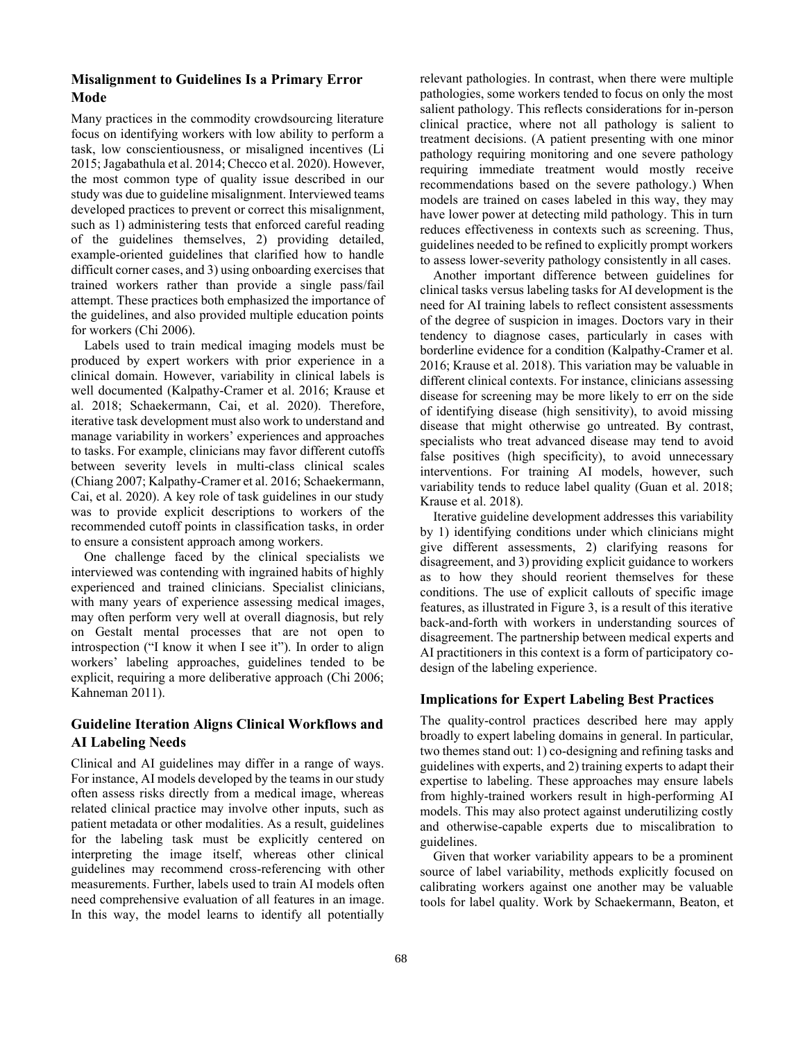# **Misalignment to Guidelines Is a Primary Error Mode**

Many practices in the commodity crowdsourcing literature focus on identifying workers with low ability to perform a task, low conscientiousness, or misaligned incentives (Li 2015; Jagabathula et al. 2014; Checco et al. 2020). However, the most common type of quality issue described in our study was due to guideline misalignment. Interviewed teams developed practices to prevent or correct this misalignment, such as 1) administering tests that enforced careful reading of the guidelines themselves, 2) providing detailed, example-oriented guidelines that clarified how to handle difficult corner cases, and 3) using onboarding exercises that trained workers rather than provide a single pass/fail attempt. These practices both emphasized the importance of the guidelines, and also provided multiple education points for workers (Chi 2006).

Labels used to train medical imaging models must be produced by expert workers with prior experience in a clinical domain. However, variability in clinical labels is well documented (Kalpathy-Cramer et al. 2016; Krause et al. 2018; Schaekermann, Cai, et al. 2020). Therefore, iterative task development must also work to understand and manage variability in workers' experiences and approaches to tasks. For example, clinicians may favor different cutoffs between severity levels in multi-class clinical scales (Chiang 2007; Kalpathy-Cramer et al. 2016; Schaekermann, Cai, et al. 2020). A key role of task guidelines in our study was to provide explicit descriptions to workers of the recommended cutoff points in classification tasks, in order to ensure a consistent approach among workers.

One challenge faced by the clinical specialists we interviewed was contending with ingrained habits of highly experienced and trained clinicians. Specialist clinicians, with many years of experience assessing medical images, may often perform very well at overall diagnosis, but rely on Gestalt mental processes that are not open to introspection ("I know it when I see it"). In order to align workers' labeling approaches, guidelines tended to be explicit, requiring a more deliberative approach (Chi 2006; Kahneman 2011).

# **Guideline Iteration Aligns Clinical Workflows and AI Labeling Needs**

Clinical and AI guidelines may differ in a range of ways. For instance, AI models developed by the teams in our study often assess risks directly from a medical image, whereas related clinical practice may involve other inputs, such as patient metadata or other modalities. As a result, guidelines for the labeling task must be explicitly centered on interpreting the image itself, whereas other clinical guidelines may recommend cross-referencing with other measurements. Further, labels used to train AI models often need comprehensive evaluation of all features in an image. In this way, the model learns to identify all potentially

relevant pathologies. In contrast, when there were multiple pathologies, some workers tended to focus on only the most salient pathology. This reflects considerations for in-person clinical practice, where not all pathology is salient to treatment decisions. (A patient presenting with one minor pathology requiring monitoring and one severe pathology requiring immediate treatment would mostly receive recommendations based on the severe pathology.) When models are trained on cases labeled in this way, they may have lower power at detecting mild pathology. This in turn reduces effectiveness in contexts such as screening. Thus, guidelines needed to be refined to explicitly prompt workers to assess lower-severity pathology consistently in all cases.

Another important difference between guidelines for clinical tasks versus labeling tasks for AI development is the need for AI training labels to reflect consistent assessments of the degree of suspicion in images. Doctors vary in their tendency to diagnose cases, particularly in cases with borderline evidence for a condition (Kalpathy-Cramer et al. 2016; Krause et al. 2018). This variation may be valuable in different clinical contexts. For instance, clinicians assessing disease for screening may be more likely to err on the side of identifying disease (high sensitivity), to avoid missing disease that might otherwise go untreated. By contrast, specialists who treat advanced disease may tend to avoid false positives (high specificity), to avoid unnecessary interventions. For training AI models, however, such variability tends to reduce label quality (Guan et al. 2018; Krause et al. 2018).

Iterative guideline development addresses this variability by 1) identifying conditions under which clinicians might give different assessments, 2) clarifying reasons for disagreement, and 3) providing explicit guidance to workers as to how they should reorient themselves for these conditions. The use of explicit callouts of specific image features, as illustrated in Figure 3, is a result of this iterative back-and-forth with workers in understanding sources of disagreement. The partnership between medical experts and AI practitioners in this context is a form of participatory codesign of the labeling experience.

### **Implications for Expert Labeling Best Practices**

The quality-control practices described here may apply broadly to expert labeling domains in general. In particular, two themes stand out: 1) co-designing and refining tasks and guidelines with experts, and 2) training experts to adapt their expertise to labeling. These approaches may ensure labels from highly-trained workers result in high-performing AI models. This may also protect against underutilizing costly and otherwise-capable experts due to miscalibration to guidelines.

Given that worker variability appears to be a prominent source of label variability, methods explicitly focused on calibrating workers against one another may be valuable tools for label quality. Work by Schaekermann, Beaton, et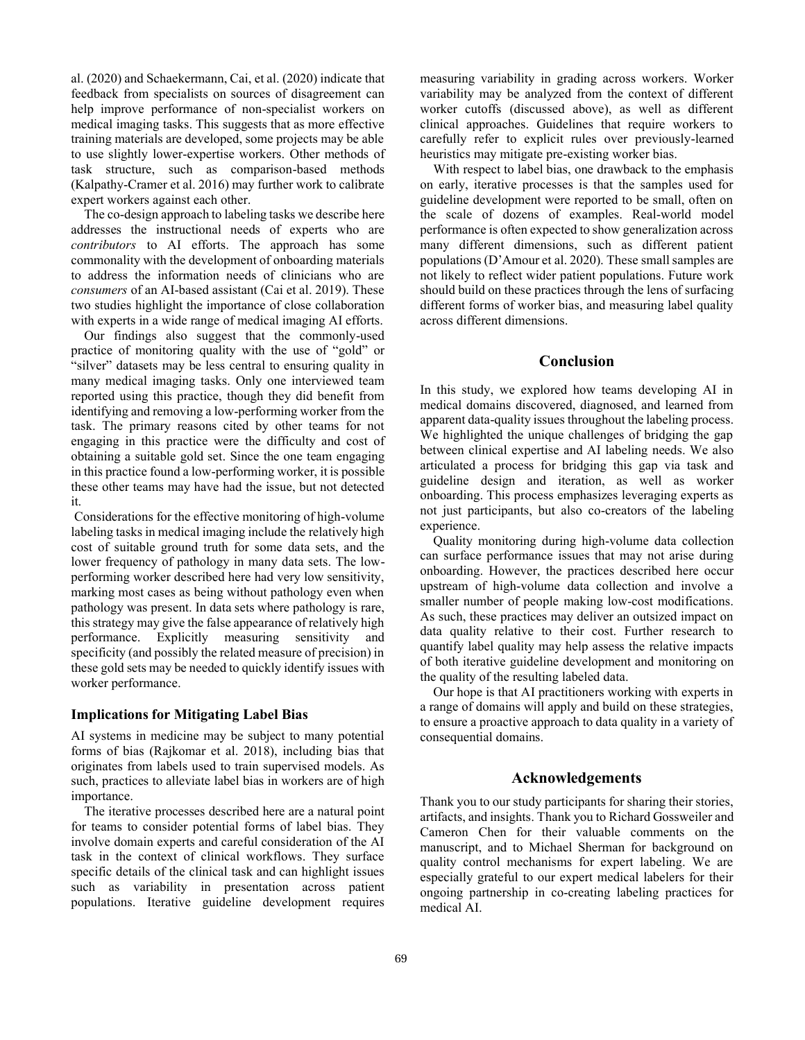al. (2020) and Schaekermann, Cai, et al. (2020) indicate that feedback from specialists on sources of disagreement can help improve performance of non-specialist workers on medical imaging tasks. This suggests that as more effective training materials are developed, some projects may be able to use slightly lower-expertise workers. Other methods of task structure, such as comparison-based methods (Kalpathy-Cramer et al. 2016) may further work to calibrate expert workers against each other.

The co-design approach to labeling tasks we describe here addresses the instructional needs of experts who are *contributors* to AI efforts. The approach has some commonality with the development of onboarding materials to address the information needs of clinicians who are *consumers* of an AI-based assistant (Cai et al. 2019). These two studies highlight the importance of close collaboration with experts in a wide range of medical imaging AI efforts.

Our findings also suggest that the commonly-used practice of monitoring quality with the use of "gold" or "silver" datasets may be less central to ensuring quality in many medical imaging tasks. Only one interviewed team reported using this practice, though they did benefit from identifying and removing a low-performing worker from the task. The primary reasons cited by other teams for not engaging in this practice were the difficulty and cost of obtaining a suitable gold set. Since the one team engaging in this practice found a low-performing worker, it is possible these other teams may have had the issue, but not detected it.

Considerations for the effective monitoring of high-volume labeling tasks in medical imaging include the relatively high cost of suitable ground truth for some data sets, and the lower frequency of pathology in many data sets. The lowperforming worker described here had very low sensitivity, marking most cases as being without pathology even when pathology was present. In data sets where pathology is rare, this strategy may give the false appearance of relatively high performance. Explicitly measuring sensitivity and specificity (and possibly the related measure of precision) in these gold sets may be needed to quickly identify issues with worker performance.

#### **Implications for Mitigating Label Bias**

AI systems in medicine may be subject to many potential forms of bias (Rajkomar et al. 2018), including bias that originates from labels used to train supervised models. As such, practices to alleviate label bias in workers are of high importance.

The iterative processes described here are a natural point for teams to consider potential forms of label bias. They involve domain experts and careful consideration of the AI task in the context of clinical workflows. They surface specific details of the clinical task and can highlight issues such as variability in presentation across patient populations. Iterative guideline development requires measuring variability in grading across workers. Worker variability may be analyzed from the context of different worker cutoffs (discussed above), as well as different clinical approaches. Guidelines that require workers to carefully refer to explicit rules over previously-learned heuristics may mitigate pre-existing worker bias.

With respect to label bias, one drawback to the emphasis on early, iterative processes is that the samples used for guideline development were reported to be small, often on the scale of dozens of examples. Real-world model performance is often expected to show generalization across many different dimensions, such as different patient populations (D'Amour et al. 2020). These small samples are not likely to reflect wider patient populations. Future work should build on these practices through the lens of surfacing different forms of worker bias, and measuring label quality across different dimensions.

## **Conclusion**

In this study, we explored how teams developing AI in medical domains discovered, diagnosed, and learned from apparent data-quality issues throughout the labeling process. We highlighted the unique challenges of bridging the gap between clinical expertise and AI labeling needs. We also articulated a process for bridging this gap via task and guideline design and iteration, as well as worker onboarding. This process emphasizes leveraging experts as not just participants, but also co-creators of the labeling experience.

Quality monitoring during high-volume data collection can surface performance issues that may not arise during onboarding. However, the practices described here occur upstream of high-volume data collection and involve a smaller number of people making low-cost modifications. As such, these practices may deliver an outsized impact on data quality relative to their cost. Further research to quantify label quality may help assess the relative impacts of both iterative guideline development and monitoring on the quality of the resulting labeled data.

Our hope is that AI practitioners working with experts in a range of domains will apply and build on these strategies, to ensure a proactive approach to data quality in a variety of consequential domains.

### **Acknowledgements**

Thank you to our study participants for sharing their stories, artifacts, and insights. Thank you to Richard Gossweiler and Cameron Chen for their valuable comments on the manuscript, and to Michael Sherman for background on quality control mechanisms for expert labeling. We are especially grateful to our expert medical labelers for their ongoing partnership in co-creating labeling practices for medical AI.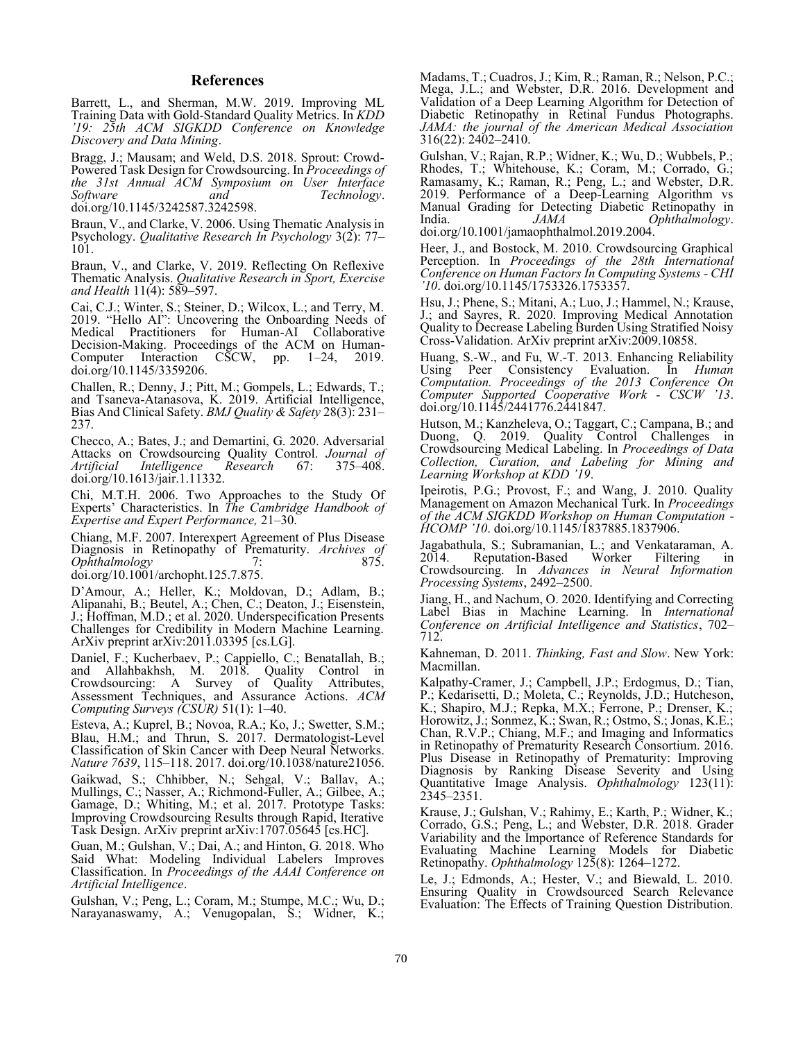#### **References**

Barrett, L., and Sherman, M.W. 2019. Improving ML Training Data with Gold-Standard Quality Metrics. In *KDD '19: 25th ACM SIGKDD Conference on Knowledge Discovery and Data Mining*.

Bragg, J.; Mausam; and Weld, D.S. 2018. Sprout: Crowd-Powered Task Design for Crowdsourcing. In *Proceedings of the 31st Annual ACM Symposium on User Interface and Technology*. doi.org/10.1145/3242587.3242598.

Braun, V., and Clarke, V. 2006. Using Thematic Analysis in Psychology. *Qualitative Research In Psychology* 3(2): 77– 101.

Braun, V., and Clarke, V. 2019. Reflecting On Reflexive Thematic Analysis. *Qualitative Research in Sport, Exercise and Health* 11(4): 589–597.

Cai, C.J.; Winter, S.; Steiner, D.; Wilcox, L.; and Terry, M. 2019. "Hello AI": Uncovering the Onboarding Needs of for Human-AI Collaborative Decision-Making. Proceedings of the ACM on Human-Computer Interaction CSCW, pp. 1–24, 2019. doi.org/10.1145/3359206.

Challen, R.; Denny, J.; Pitt, M.; Gompels, L.; Edwards, T.; and Tsaneva-Atanasova, K. 2019. Artificial Intelligence, Bias And Clinical Safety. *BMJ Quality & Safety* 28(3): 231– 237.

Checco, A.; Bates, J.; and Demartini, G. 2020. Adversarial Attacks on Crowdsourcing Quality Control. *Journal of Intelligence* doi.org/10.1613/jair.1.11332.

Chi, M.T.H. 2006. Two Approaches to the Study Of Experts' Characteristics. In *The Cambridge Handbook of Expertise and Expert Performance,* 21–30.

Chiang, M.F. 2007. Interexpert Agreement of Plus Disease Diagnosis in Retinopathy of Prematurity. *Archives of Ophthalmology* 

doi.org/10.1001/archopht.125.7.875.

D'Amour, A.; Heller, K.; Moldovan, D.; Adlam, B.; Alipanahi, B.; Beutel, A.; Chen, C.; Deaton, J.; Eisenstein, J.; Hoffman, M.D.; et al. 2020. Underspecification Presents Challenges for Credibility in Modern Machine Learning. ArXiv preprint arXiv:2011.03395 [cs.LG].

Daniel, F.; Kucherbaev, P.; Cappiello, C.; Benatallah, B.; and Allahbakhsh, M. 2018. Quality Control in Crowdsourcing: A Survey of Quality Attributes, Assessment Techniques, and Assurance Actions. *ACM Computing Surveys (CSUR)* 51(1): 1–40.

Esteva, A.; Kuprel, B.; Novoa, R.A.; Ko, J.; Swetter, S.M.; Blau, H.M.; and Thrun, S. 2017. Dermatologist-Level Classification of Skin Cancer with Deep Neural Networks. *Nature 7639*, 115–118. 2017. doi.org/10.1038/nature21056.

Gaikwad, S.; Chhibber, N.; Sehgal, V.; Ballav, A.; Mullings, C.; Nasser, A.; Richmond-Fuller, A.; Gilbee, A.; Gamage, D.; Whiting, M.; et al. 2017. Prototype Tasks: Improving Crowdsourcing Results through Rapid, Iterative Task Design. ArXiv preprint arXiv:1707.05645 [cs.HC].

Guan, M.; Gulshan, V.; Dai, A.; and Hinton, G. 2018. Who Said What: Modeling Individual Labelers Improves Classification. In *Proceedings of the AAAI Conference on Artificial Intelligence*.

Gulshan, V.; Peng, L.; Coram, M.; Stumpe, M.C.; Wu, D.; Narayanaswamy, A.; Venugopalan, S.; Widner, K.;

Madams, T.; Cuadros, J.; Kim, R.; Raman, R.; Nelson, P.C.; Mega, J.L.; and Webster, D.R. 2016. Development and Validation of a Deep Learning Algorithm for Detection of Diabetic Retinopathy in Retinal Fundus Photographs. *JAMA: the journal of the American Medical Association* 316(22): 2402–2410.

Gulshan, V.; Rajan, R.P.; Widner, K.; Wu, D.; Wubbels, P.; Rhodes, T.; Whitehouse, K.; Coram, M.; Corrado, G.; Ramasamy, K.; Raman, R.; Peng, L.; and Webster, D.R. 2019. Performance of a Deep-Learning Algorithm vs Manual Grading for Detecting Diabetic Retinopathy in India. *JAMA Ophthalmology*. doi.org/10.1001/jamaophthalmol.2019.2004.

Heer, J., and Bostock, M. 2010. Crowdsourcing Graphical Perception. In *Proceedings of the 28th International Conference on Human Factors In Computing Systems - CHI '10*. doi.org/10.1145/1753326.1753357.

Hsu, J.; Phene, S.; Mitani, A.; Luo, J.; Hammel, N.; Krause, J.; and Sayres, R. 2020. Improving Medical Annotation Quality to Decrease Labeling Burden Using Stratified Noisy Cross-Validation. ArXiv preprint arXiv:2009.10858.

Huang, S.-W., and Fu, W.-T. 2013. Enhancing Reliability Using Peer Consistency Evaluation. In *Human Computation. Proceedings of the 2013 Conference On Computer Supported Cooperative Work - CSCW '13*. doi.org/10.1145/2441776.2441847.

Hutson, M.; Kanzheleva, O.; Taggart, C.; Campana, B.; and Duong, Q. 2019. Quality Control Challenges in Crowdsourcing Medical Labeling. In *Proceedings of Data Collection, Curation, and Labeling for Mining and Learning Workshop at KDD '19*.

Ipeirotis, P.G.; Provost, F.; and Wang, J. 2010. Quality Management on Amazon Mechanical Turk. In *Proceedings of the ACM SIGKDD Workshop on Human Computation - HCOMP '10*. doi.org/10.1145/1837885.1837906.

Jagabathula, S.; Subramanian, L.; and Venkataraman, A. Reputation-Based Worker Filtering in Crowdsourcing. In *Advances in Neural Information Processing Systems*, 2492–2500.

Jiang, H., and Nachum, O. 2020. Identifying and Correcting Label Bias in Machine Learning. In *International Conference on Artificial Intelligence and Statistics*, 702– 712.

Kahneman, D. 2011. *Thinking, Fast and Slow*. New York: Macmillan.

Kalpathy-Cramer, J.; Campbell, J.P.; Erdogmus, D.; Tian, P.; Kedarisetti, D.; Moleta, C.; Reynolds, J.D.; Hutcheson, K.; Shapiro, M.J.; Repka, M.X.; Ferrone, P.; Drenser, K.; Horowitz, J.; Sonmez, K.; Swan, R.; Ostmo, S.; Jonas, K.E.; Chan, R.V.P.; Chiang, M.F.; and Imaging and Informatics in Retinopathy of Prematurity Research Consortium. 2016. Plus Disease in Retinopathy of Prematurity: Improving Diagnosis by Ranking Disease Severity and Using Quantitative Image Analysis. *Ophthalmology* 123(11): 2345–2351.

Krause, J.; Gulshan, V.; Rahimy, E.; Karth, P.; Widner, K.; Corrado, G.S.; Peng, L.; and Webster, D.R. 2018. Grader Variability and the Importance of Reference Standards for Evaluating Machine Learning Models for Diabetic Retinopathy. *Ophthalmology* 125(8): 1264–1272.

Le, J.; Edmonds, A.; Hester, V.; and Biewald, L. 2010. Ensuring Quality in Crowdsourced Search Relevance Evaluation: The Effects of Training Question Distribution.